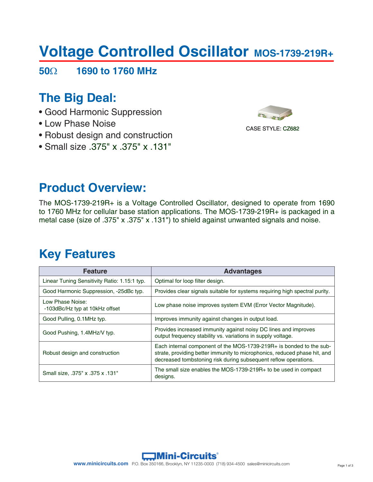# **Voltage Controlled Oscillator MOS-1739-219R+**

**50**Ω **1690 to 1760 MHz**

# **The Big Deal:**

- Good Harmonic Suppression
- Low Phase Noise
- Robust design and construction
- Small size .375" x .375" x .131"



### **Product Overview:**

The MOS-1739-219R+ is a Voltage Controlled Oscillator, designed to operate from 1690 to 1760 MHz for cellular base station applications. The MOS-1739-219R+ is packaged in a metal case (size of .375" x .375" x .131") to shield against unwanted signals and noise.

### **Key Features**

| <b>Feature</b>                                     | <b>Advantages</b>                                                                                                                                                                                                   |
|----------------------------------------------------|---------------------------------------------------------------------------------------------------------------------------------------------------------------------------------------------------------------------|
| Linear Tuning Sensitivity Ratio: 1.15:1 typ.       | Optimal for loop filter design.                                                                                                                                                                                     |
| Good Harmonic Suppression, -25dBc typ.             | Provides clear signals suitable for systems requiring high spectral purity.                                                                                                                                         |
| Low Phase Noise:<br>-103dBc/Hz typ at 10kHz offset | Low phase noise improves system EVM (Error Vector Magnitude).                                                                                                                                                       |
| Good Pulling, 0.1 MHz typ.                         | Improves immunity against changes in output load.                                                                                                                                                                   |
| Good Pushing, 1.4MHz/V typ.                        | Provides increased immunity against noisy DC lines and improves<br>output frequency stability vs. variations in supply voltage.                                                                                     |
| Robust design and construction                     | Each internal component of the MOS-1739-219R+ is bonded to the sub-<br>strate, providing better immunity to microphonics, reduced phase hit, and<br>decreased tombstoning risk during subsequent reflow operations. |
| Small size, .375" x .375 x .131"                   | The small size enables the MOS-1739-219R+ to be used in compact<br>designs.                                                                                                                                         |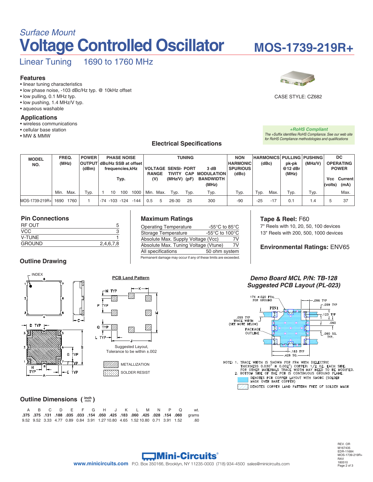# **Voltage Controlled Oscillator** *Surface Mount*

# **MOS-1739-219R+**

Linear Tuning 1690 to 1760 MHz

#### **Features**

- linear tuning characteristics
- low phase noise, -103 dBc/Hz typ. @ 10kHz offset
- low pulling, 0.1 MHz typ.
- low pushing, 1.4 MHz/V typ. • aqueous washable

#### **Applications**

- wireless communications
- cellular base station
- MW & MMW

#### **Electrical Specifications**



### CASE STYLE: CZ682

*+RoHS Compliant The +Suffix identifies RoHS Compliance. See our web site for RoHS Compliance methodologies and qualifications*

| <b>MODEL</b><br>NO. |      | FREQ.<br>(MHz) | <b>POWER</b><br>OUTPUT dBc/Hz SSB at offset |                  |    | <b>PHASE NOISE</b>    |        |              |                                                    |       | <b>TUNING</b>             |                          | <b>HARMONICS PULLING PUSHING</b><br><b>NON</b><br><b>HARMONIC</b><br>(dBc) |       |                    | pk-pk               | (MHz/V)      |  | <b>DC</b><br><b>OPERATING</b> |
|---------------------|------|----------------|---------------------------------------------|------------------|----|-----------------------|--------|--------------|----------------------------------------------------|-------|---------------------------|--------------------------|----------------------------------------------------------------------------|-------|--------------------|---------------------|--------------|--|-------------------------------|
|                     |      |                | (dBm)                                       | frequencies, kHz |    |                       |        | <b>RANGE</b> | VOLTAGE SENSI- PORT<br><b>CAP</b><br><b>TIVITY</b> |       | 3 dB<br><b>MODULATION</b> | <b>SPURIOUS</b><br>(dBc) |                                                                            |       | $@12$ dBr<br>(MHz) |                     | <b>POWER</b> |  |                               |
|                     |      |                | Typ.                                        |                  |    | (V)<br>$(MHz/V)$ (pF) |        |              | <b>BANDWIDTH</b><br>(MHz)                          |       |                           |                          |                                                                            |       | (volts)            | Vcc Current<br>(mA) |              |  |                               |
|                     | Min. | Max.           | Typ.                                        |                  | 10 | 100                   | 1000   |              | Min. Max.                                          | Typ.  | Typ.                      | Typ.                     | Typ.                                                                       | Typ.  | Max.               | Typ.                | Typ.         |  | Max.                          |
| MOS-1739-219R+      | 1690 | 1760           |                                             |                  |    | -74 -103 -124         | $-144$ | 0.5          | 5                                                  | 26-30 | 25                        | 300                      | -90                                                                        | $-25$ | $-17$              | 0.1                 | $\cdot$      |  | -37                           |

#### **Pin Connections**

| 2,4,6,7,8 |
|-----------|
|           |

#### **Outline Drawing**



### **Maximum Ratings**

| <b>Operating Temperature</b>                                    | -55 $\degree$ C to 85 $\degree$ C                    |
|-----------------------------------------------------------------|------------------------------------------------------|
| Storage Temperature                                             | -55 $\mathrm{^{\circ}C}$ to 100 $\mathrm{^{\circ}C}$ |
| Absolute Max. Supply Voltage (Vcc)                              | 7V                                                   |
| Absolute Max. Tuning Voltage (Vtune)                            | 7V                                                   |
| All specifications                                              | 50 ohm system                                        |
| Permanent damage may occur if any of these limits are exceeded. |                                                      |

#### **Tape & Reel:** F60

7" Reels with 10, 20, 50, 100 devices 13" Reels with 200, 500, 1000 devices

#### **Environmental Ratings:** ENV65



**PCB Land Pattern**

SOLDER RESIST

**Outline Dimensions (** $\text{imm}$ **)** 

|  |  |  |  |  |  |  | A B C D E F G H J K L M N P O | wt.                                                                                   |
|--|--|--|--|--|--|--|-------------------------------|---------------------------------------------------------------------------------------|
|  |  |  |  |  |  |  |                               | arams 060, 154. 208. 245. 060. 183. 183. 245. 050. 154. 033. 268. 188. 131. 375. 275. |
|  |  |  |  |  |  |  |                               | 9.52 9.52 3.33 4.77 0.89 0.84 3.91 1.27 10.80 4.65 1.52 10.80 0.71 3.91 1.52 60       |

#### *Demo Board MCL P/N: TB-128 Suggested PCB Layout (PL-023)*



NOTE: 1. TRACE WIDTH IS SHOWN FOR FR4 WITH DIELECTRIC<br>THICKNESS 0.030" ± 0.002"; COPPER: 1/2 0Z. EACH SIDE.<br>FOR OTHER MATERIALS TRACE WIDTH MAY NEED TO BE MODIFIED.<br>2. BOTTOM SIDE OF THE PCB IS CONTINUOUS GROUND PLANE. DENOTES PCB COPPER LAYOUT WITH SMOBC (SOLDER<br>MASK OVER BARE COPPER) DENOTES COPPER LAND PATTERN FREE OF SOLDER MASK

### **Mini-Circuits**®